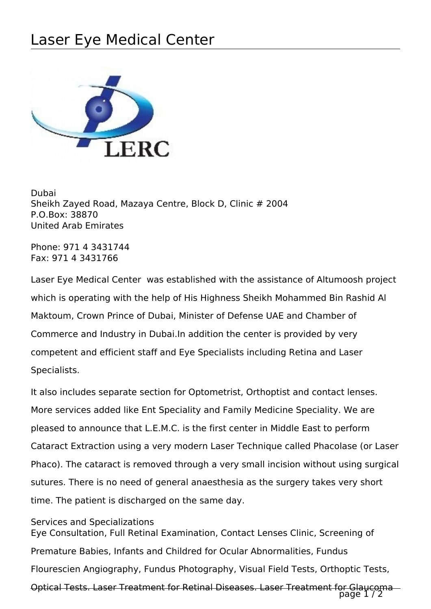## Laser Eye Medical Center



Dubai Sheikh Zayed Road, Mazaya Centre, Block D, Clinic # 2004 P.O.Box: 38870 United Arab Emirates

Phone: 971 4 3431744 Fax: 971 4 3431766

Laser Eye Medical Center was established with the assistance of Altumoosh project which is operating with the help of His Highness Sheikh Mohammed Bin Rashid Al Maktoum, Crown Prince of Dubai, Minister of Defense UAE and Chamber of Commerce and Industry in Dubai.In addition the center is provided by very competent and efficient staff and Eye Specialists including Retina and Laser Specialists.

It also includes separate section for Optometrist, Orthoptist and contact lenses. More services added like Ent Speciality and Family Medicine Speciality. We are pleased to announce that L.E.M.C. is the first center in Middle East to perform Cataract Extraction using a very modern Laser Technique called Phacolase (or Laser Phaco). The cataract is removed through a very small incision without using surgical sutures. There is no need of general anaesthesia as the surgery takes very short time. The patient is discharged on the same day.

Services and Specializations

Eye Consultation, Full Retinal Examination, Contact Lenses Clinic, Screening of Premature Babies, Infants and Childred for Ocular Abnormalities, Fundus Flourescien Angiography, Fundus Photography, Visual Field Tests, Orthoptic Tests, Optical Tests. Laser Treatment for Retinal Diseases. Laser Treatment for Glaucoma

page 1/2